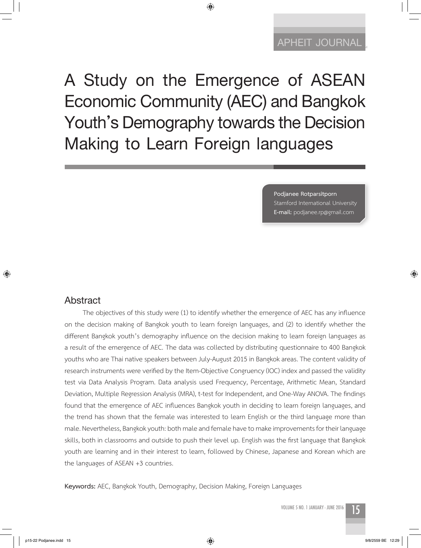# **APHEIT JOURNAL APHEIT JOURNAL**

**A Study on the Emergence of ASEAN Economic Community (AEC) and Bangkok Youth's Demography towards the Decision Making to Learn Foreign languages**

◈

**Podjanee Rotparsitporn** Stamford International University **E-mail:** podjanee.rp@gmail.com

#### **Abstract**

 $\bigcirc$ 

The objectives of this study were (1) to identify whether the emergence of AEC has any influence on the decision making of Bangkok youth to learn foreign languages, and (2) to identify whether the different Bangkok youth's demography influence on the decision making to learn foreign languages as a result of the emergence of AEC. The data was collected by distributing questionnaire to 400 Bangkok youths who are Thai native speakers between July-August 2015 in Bangkok areas. The content validity of research instruments were verified by the Item-Objective Congruency (IOC) index and passed the validity test via Data Analysis Program. Data analysis used Frequency, Percentage, Arithmetic Mean, Standard Deviation, Multiple Regression Analysis (MRA), t-test for Independent, and One-Way ANOVA. The findings found that the emergence of AEC influences Bangkok youth in deciding to learn foreign languages, and the trend has shown that the female was interested to learn English or the third language more than male. Nevertheless, Bangkok youth: both male and female have to make improvements for their language skills, both in classrooms and outside to push their level up. English was the first language that Bangkok youth are learning and in their interest to learn, followed by Chinese, Japanese and Korean which are the languages of ASEAN +3 countries.

**Keywords:** AEC, Bangkok Youth, Demography, Decision Making, Foreign Languages

VOLUME 5 NO. 1 JANUARY - JUNE 2016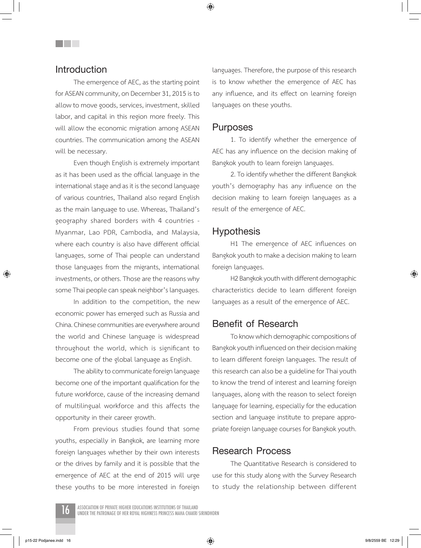◈

## **Introduction**

The emergence of AEC, as the starting point for ASEAN community, on December 31, 2015 is to allow to move goods, services, investment, skilled labor, and capital in this region more freely. This will allow the economic migration among ASEAN countries. The communication among the ASEAN will be necessary.

Even though English is extremely important as it has been used as the official language in the international stage and as it is the second language of various countries, Thailand also regard English as the main language to use. Whereas, Thailand's geography shared borders with 4 countries - Myanmar, Lao PDR, Cambodia, and Malaysia, where each country is also have different official languages, some of Thai people can understand those languages from the migrants, international investments, or others. Those are the reasons why some Thai people can speak neighbor's languages.

In addition to the competition, the new economic power has emerged such as Russia and China. Chinese communities are everywhere around the world and Chinese language is widespread throughout the world, which is significant to become one of the global language as English.

The ability to communicate foreign language become one of the important qualification for the future workforce, cause of the increasing demand of multilingual workforce and this affects the opportunity in their career growth.

From previous studies found that some youths, especially in Bangkok, are learning more foreign languages whether by their own interests or the drives by family and it is possible that the emergence of AEC at the end of 2015 will urge these youths to be more interested in foreign languages. Therefore, the purpose of this research is to know whether the emergence of AEC has any influence, and its effect on learning foreign languages on these youths.

#### **Purposes**

1. To identify whether the emergence of AEC has any influence on the decision making of Bangkok youth to learn foreign languages.

2. To identify whether the different Bangkok youth's demography has any influence on the decision making to learn foreign languages as a result of the emergence of AEC.

## **Hypothesis**

H1 The emergence of AEC influences on Bangkok youth to make a decision making to learn foreign languages.

H2 Bangkok youth with different demographic characteristics decide to learn different foreign languages as a result of the emergence of AEC.

## **Benefit of Research**

To know which demographic compositions of Bangkok youth influenced on their decision making to learn different foreign languages. The result of this research can also be a guideline for Thai youth to know the trend of interest and learning foreign languages, along with the reason to select foreign language for learning, especially for the education section and language institute to prepare appropriate foreign language courses for Bangkok youth.

#### **Research Process**

The Quantitative Research is considered to use for this study along with the Survey Research to study the relationship between different



p15-22 Podjanee.indd 16 9/8/2559 BE 12:29

⊕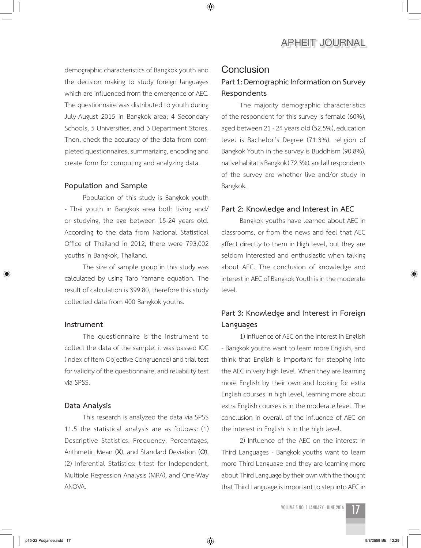about Third Language by their own with the thought that Third Language is important to step into AEC in

2) Influence of the AEC on the interest in



demographic characteristics of Bangkok youth and the decision making to study foreign languages which are influenced from the emergence of AEC. The questionnaire was distributed to youth during July-August 2015 in Bangkok area; 4 Secondary Schools, 5 Universities, and 3 Department Stores. Then, check the accuracy of the data from completed questionnaires, summarizing, encoding and create form for computing and analyzing data.

#### **Population and Sample**

Population of this study is Bangkok youth - Thai youth in Bangkok area both living and/ or studying, the age between 15-24 years old. According to the data from National Statistical Office of Thailand in 2012, there were 793,002 youths in Bangkok, Thailand.

The size of sample group in this study was calculated by using Taro Yamane equation. The result of calculation is 399.80, therefore this study collected data from 400 Bangkok youths.

#### **Instrument**

⊕

The questionnaire is the instrument to collect the data of the sample, it was passed IOC (Index of Item Objective Congruence) and trial test for validity of the questionnaire, and reliability test via SPSS.

#### **Data Analysis**

This research is analyzed the data via SPSS 11.5 the statistical analysis are as follows: (1) Descriptive Statistics: Frequency, Percentages, Arithmetic Mean (**X**), and Standard Deviation (**O**), (2) Inferential Statistics: t-test for Independent, Multiple Regression Analysis (MRA), and One-Way ANOVA.

#### **Conclusion**

◈

## **Part 1: Demographic Information on Survey Respondents**

**APHEIT JOURNAL**

The majority demographic characteristics of the respondent for this survey is female (60%), aged between 21 - 24 years old (52.5%), education level is Bachelor's Degree (71.3%), religion of Bangkok Youth in the survey is Buddhism (90.8%), native habitat is Bangkok ( 72.3%), and all respondents of the survey are whether live and/or study in Bangkok.

#### **Part 2: Knowledge and Interest in AEC**

Bangkok youths have learned about AEC in classrooms, or from the news and feel that AEC affect directly to them in High level, but they are seldom interested and enthusiastic when talking about AEC. The conclusion of knowledge and interest in AEC of Bangkok Youth is in the moderate level.

## **Part 3: Knowledge and Interest in Foreign Languages**

1) Influence of AEC on the interest in English - Bangkok youths want to learn more English, and think that English is important for stepping into the AEC in very high level. When they are learning more English by their own and looking for extra English courses in high level, learning more about extra English courses is in the moderate level. The conclusion in overall of the influence of AEC on the interest in English is in the high level.

⊕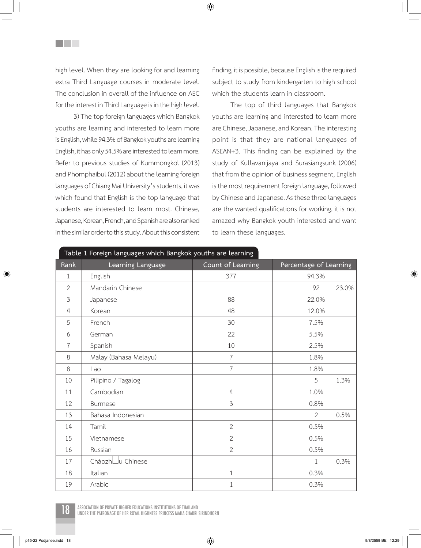high level. When they are looking for and learning extra Third Language courses in moderate level. The conclusion in overall of the influence on AEC for the interest in Third Language is in the high level.

**THE SEA** 

3) The top foreign languages which Bangkok youths are learning and interested to learn more is English, while 94.3% of Bangkok youths are learning English, it has only 54.5% are interested to learn more. Refer to previous studies of Kummongkol (2013) and Phomphaibul (2012) about the learning foreign languages of Chiang Mai University's students, it was which found that English is the top language that students are interested to learn most. Chinese, Japanese, Korean, French, and Spanish are also ranked in the similar order to this study. About this consistent finding, it is possible, because English is the required subject to study from kindergarten to high school which the students learn in classroom.

The top of third languages that Bangkok youths are learning and interested to learn more are Chinese, Japanese, and Korean. The interesting point is that they are national languages of ASEAN+3. This finding can be explained by the study of Kullavanijaya and Surasiangsunk (2006) that from the opinion of business segment, English is the most requirement foreign language, followed by Chinese and Japanese. As these three languages are the wanted qualifications for working, it is not amazed why Bangkok youth interested and want to learn these languages.

| Rank           | Learning Language     | Count of Learning | Percentage of Learning |
|----------------|-----------------------|-------------------|------------------------|
| $\mathbf 1$    | English               | 377               | 94.3%                  |
| $\overline{2}$ | Mandarin Chinese      |                   | 92<br>23.0%            |
| 3              | Japanese              | 88                | 22.0%                  |
| $\overline{4}$ | Korean                | 48                | 12.0%                  |
| 5              | French                | 30                | 7.5%                   |
| 6              | German                | 22                | 5.5%                   |
| $\overline{7}$ | Spanish               | 10                | 2.5%                   |
| 8              | Malay (Bahasa Melayu) | $\overline{7}$    | 1.8%                   |
| 8              | Lao                   | $\overline{7}$    | 1.8%                   |
| 10             | Pilipino / Tagalog    |                   | 5<br>1.3%              |
| 11             | Cambodian             | $\overline{4}$    | 1.0%                   |
| 12             | <b>Burmese</b>        | 3                 | 0.8%                   |
| 13             | Bahasa Indonesian     |                   | $\overline{2}$<br>0.5% |
| 14             | Tamil                 | $\overline{2}$    | 0.5%                   |
| 15             | Vietnamese            | $\overline{2}$    | 0.5%                   |
| 16             | Russian               | $\overline{2}$    | 0.5%                   |
| 17             | CháozhLlu Chinese     |                   | 0.3%<br>$\mathbf{1}$   |
| 18             | Italian               | $\mathbf 1$       | 0.3%                   |
| 19             | Arabic                | $1\,$             | 0.3%                   |

◈

**Table 1 Foreign languages which Bangkok youths are learning**



ASSOCIATION OF PRIVATE HIGHER EDUCATIONS INSTITUTIONS OF THAILAND<br>UNDER THE PATRONAGE OF HER ROYAL HIGHNESS PRINCESS MAHA CHAKRI SIRINDHORN

⊕

⊕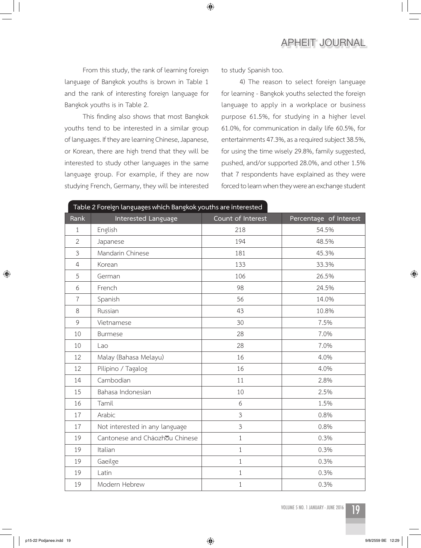## **APHEIT JOURNAL**

From this study, the rank of learning foreign language of Bangkok youths is brown in Table 1 and the rank of interesting foreign language for Bangkok youths is in Table 2.

This finding also shows that most Bangkok youths tend to be interested in a similar group of languages. If they are learning Chinese, Japanese, or Korean, there are high trend that they will be interested to study other languages in the same language group. For example, if they are now studying French, Germany, they will be interested to study Spanish too.

 $\bigoplus$ 

4) The reason to select foreign language for learning - Bangkok youths selected the foreign language to apply in a workplace or business purpose 61.5%, for studying in a higher level 61.0%, for communication in daily life 60.5%, for entertainments 47.3%, as a required subject 38.5%, for using the time wisely 29.8%, family suggested, pushed, and/or supported 28.0%, and other 1.5% that 7 respondents have explained as they were forced to learn when they were an exchange student

| Table 2 Foreign languages which Bangkok youths are interested |                                |                   |                        |  |
|---------------------------------------------------------------|--------------------------------|-------------------|------------------------|--|
| Rank                                                          | Interested Language            | Count of Interest | Percentage of Interest |  |
| $\mathbf 1$                                                   | English                        | 218               | 54.5%                  |  |
| $\overline{2}$                                                | Japanese                       | 194               | 48.5%                  |  |
| $\mathfrak{Z}$                                                | Mandarin Chinese               | 181               | 45.3%                  |  |
| $\overline{4}$                                                | Korean                         | 133               | 33.3%                  |  |
| 5                                                             | German                         | 106               | 26.5%                  |  |
| 6                                                             | French                         | 98                | 24.5%                  |  |
| $\overline{7}$                                                | Spanish                        | 56                | 14.0%                  |  |
| 8                                                             | Russian                        | 43                | 10.8%                  |  |
| 9                                                             | Vietnamese                     | 30                | 7.5%                   |  |
| 10                                                            | <b>Burmese</b>                 | 28                | 7.0%                   |  |
| 10                                                            | Lao                            | 28                | 7.0%                   |  |
| 12                                                            | Malay (Bahasa Melayu)          | 16                | 4.0%                   |  |
| 12                                                            | Pilipino / Tagalog             | 16                | 4.0%                   |  |
| 14                                                            | Cambodian                      | 11                | 2.8%                   |  |
| 15                                                            | Bahasa Indonesian              | 10                | 2.5%                   |  |
| 16                                                            | Tamil                          | 6                 | 1.5%                   |  |
| 17                                                            | Arabic                         | $\mathfrak{Z}$    | 0.8%                   |  |
| 17                                                            | Not interested in any language | 3                 | 0.8%                   |  |
| 19                                                            | Cantonese and Cháozhou Chinese | $\mathbf{1}$      | 0.3%                   |  |
| 19                                                            | Italian                        | $\mathbf{1}$      | 0.3%                   |  |
| 19                                                            | Gaeilge                        | $\mathbf{1}$      | 0.3%                   |  |
| 19                                                            | Latin                          | $\mathbf{1}$      | 0.3%                   |  |
| 19                                                            | Modern Hebrew                  | $1\,$             | 0.3%                   |  |



 $\bigcirc$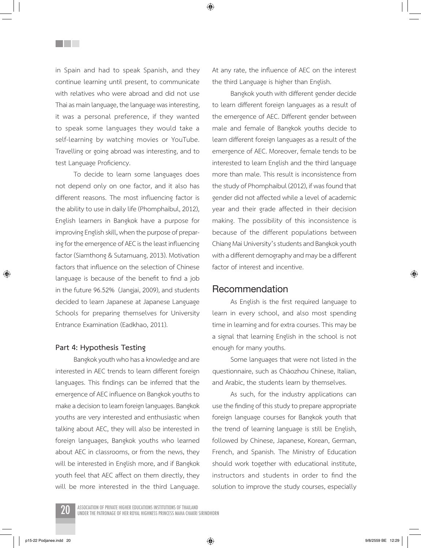◈

in Spain and had to speak Spanish, and they continue learning until present, to communicate with relatives who were abroad and did not use Thai as main language, the language was interesting, it was a personal preference, if they wanted to speak some languages they would take a self-learning by watching movies or YouTube. Travelling or going abroad was interesting, and to test Language Proficiency.

<u>Filmer</u>

To decide to learn some languages does not depend only on one factor, and it also has different reasons. The most influencing factor is the ability to use in daily life (Phomphaibul, 2012), English learners in Bangkok have a purpose for improving English skill, when the purpose of preparing for the emergence of AEC is the least influencing factor (Siamthong & Sutamuang, 2013). Motivation factors that influence on the selection of Chinese language is because of the benefit to find a job in the future 96.52% (Jangjai, 2009), and students decided to learn Japanese at Japanese Language Schools for preparing themselves for University Entrance Examination (Eadkhao, 2011).

#### **Part 4: Hypothesis Testing**

Bangkok youth who has a knowledge and are interested in AEC trends to learn different foreign languages. This findings can be inferred that the emergence of AEC influence on Bangkok youths to make a decision to learn foreign languages. Bangkok youths are very interested and enthusiastic when talking about AEC, they will also be interested in foreign languages, Bangkok youths who learned about AEC in classrooms, or from the news, they will be interested in English more, and if Bangkok youth feel that AEC affect on them directly, they will be more interested in the third Language.

At any rate, the influence of AEC on the interest the third Language is higher than English.

Bangkok youth with different gender decide to learn different foreign languages as a result of the emergence of AEC. Different gender between male and female of Bangkok youths decide to learn different foreign languages as a result of the emergence of AEC. Moreover, female tends to be interested to learn English and the third language more than male. This result is inconsistence from the study of Phomphaibul (2012), if was found that gender did not affected while a level of academic year and their grade affected in their decision making. The possibility of this inconsistence is because of the different populations between Chiang Mai University's students and Bangkok youth with a different demography and may be a different factor of interest and incentive.

#### **Recommendation**

As English is the first required language to learn in every school, and also most spending time in learning and for extra courses. This may be a signal that learning English in the school is not enough for many youths.

Some languages that were not listed in the questionnaire, such as Cháozhou Chinese, Italian, and Arabic, the students learn by themselves.

As such, for the industry applications can use the finding of this study to prepare appropriate foreign language courses for Bangkok youth that the trend of learning language is still be English, followed by Chinese, Japanese, Korean, German, French, and Spanish. The Ministry of Education should work together with educational institute, instructors and students in order to find the solution to improve the study courses, especially

ASSOCIATION OF PRIVATE HIGHER EDUCATIONS INSTITUTIONS OF THAILAND<br>UNDER THE PATRONAGE OF HER ROYAL HIGHNESS PRINCESS MAHA CHAKRI SIRINDHORN

p15-22 Podjanee.indd 20 9/8/2559 BE 12:29

⊕

⊕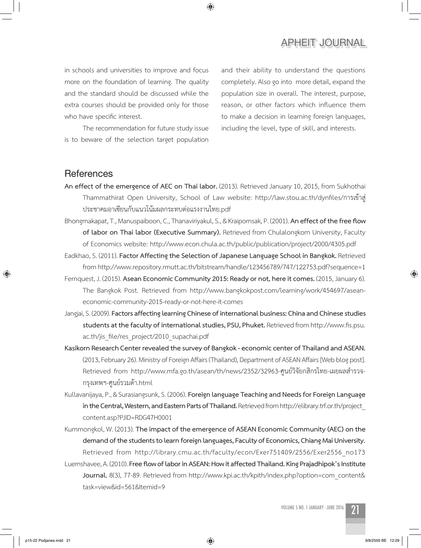## **APHEIT JOURNAL**

in schools and universities to improve and focus more on the foundation of learning. The quality and the standard should be discussed while the extra courses should be provided only for those who have specific interest.

The recommendation for future study issue is to beware of the selection target population and their ability to understand the questions completely. Also go into more detail, expand the population size in overall. The interest, purpose, reason, or other factors which influence them to make a decision in learning foreign languages, including the level, type of skill, and interests.

### **References**

**An effect of the emergence of AEC on Thai labor.** (2013). Retrieved January 10, 2015, from Sukhothai Thammathirat Open University, School of Law website: http://law.stou.ac.th/dynfiles/การเข้าสู่ ประชาคมอาเซียนกับแนวโน้มผลกระทบต่อแรงงานไทย.pdf

◈

Bhongmakapat, T., Manuspaiboon, C., Thanaviriyakul, S., & Kraipornsak, P. (2001). **An effect of the free flow of labor on Thai labor (Executive Summary).** Retrieved from Chulalongkorn University, Faculty of Economics website: http://www.econ.chula.ac.th/public/publication/project/2000/4305.pdf

Eadkhao, S. (2011). **Factor Affecting the Selection of Japanese Language School in Bangkok.** Retrieved from http://www.repository.rmutt.ac.th/bitstream/handle/123456789/747/122753.pdf?sequence=1

Fernquest, J. (2015). **Asean Economic Community 2015: Ready or not, here it comes.** (2015, January 6). The Bangkok Post. Retrieved from http://www.bangkokpost.com/learning/work/454697/aseaneconomic-community-2015-ready-or-not-here-it-comes

Jangjai, S. (2009). **Factors affecting learning Chinese of international business: China and Chinese studies students at the faculty of international studies, PSU, Phuket.** Retrieved from http://www.fis.psu. ac.th/jis\_file/res\_project/2010\_supachai.pdf

**Kasikorn Research Center revealed the survey of Bangkok - economic center of Thailand and ASEAN.**  (2013, February 26). Ministry of Foreign Affairs (Thailand), Department of ASEAN Affairs [Web blog post]. Retrieved from http://www.mfa.go.th/asean/th/news/2352/32963-ศูนย์วิจัยกสิกรไทย-เผยผลสำรวจ-กรุงเทพฯ-ศูนย์รวมด้า.html

Kullavanijaya, P., & Surasiangsunk, S. (2006). **Foreign language Teaching and Needs for Foreign Language in the Central, Western, and Eastern Parts of Thailand.** Retrieved from http://elibrary.trf.or.th/project\_ content.asp?PJID=RDG47H0001

Kummongkol, W. (2013). **The impact of the emergence of ASEAN Economic Community (AEC) on the demand of the students to learn foreign languages, Faculty of Economics, Chiang Mai University.**  Retrieved from http://library.cmu.ac.th/faculty/econ/Exer751409/2556/Exer2556\_no173 Luernshavee, A. (2010). **Free flow of labor in ASEAN: How it affected Thailand. King Prajadhipok's Institute Journal.** 8(3), 77-89. Retrieved from http://www.kpi.ac.th/kpith/index.php?option=com\_content& task=view&id=561&Itemid=9

p15-22 Podjanee.indd 21 9/8/2559 BE 12:29

⊕